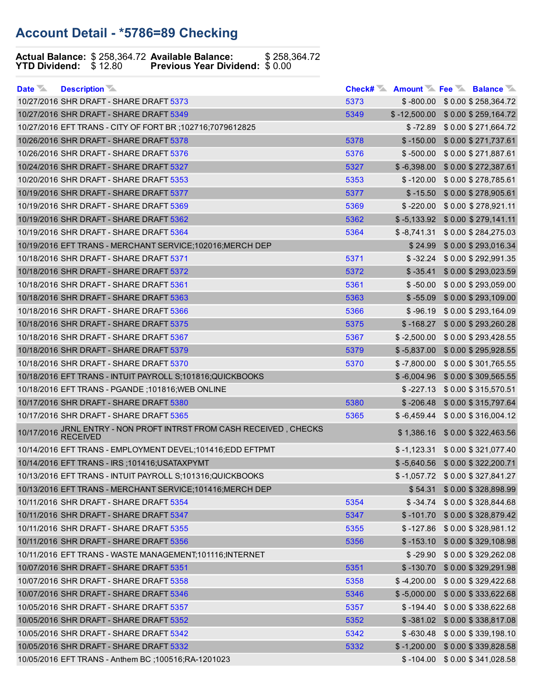## Account Detail \*5786=89 Checking

## Actual Balance: \$258,364.72 Available Balance: \$258,364.72 YTD Dividend:  $$12.80$  Previous Year Dividend:  $$0.00$

| Date <b>Manufact</b><br><b>Description</b>                          |      |               | Check# Amount Fee Balance           |
|---------------------------------------------------------------------|------|---------------|-------------------------------------|
| 10/27/2016 SHR DRAFT - SHARE DRAFT 5373                             | 5373 |               | $$ -800.00 \ $ 0.00 \ $ 258,364.72$ |
| 10/27/2016 SHR DRAFT - SHARE DRAFT 5349                             | 5349 |               | $$-12,500.00$ $$0.00$ $$259,164.72$ |
| 10/27/2016 EFT TRANS - CITY OF FORT BR ;102716;7079612825           |      | $$ -72.89$    | \$ 0.00 \$ 271,664.72               |
| 10/26/2016 SHR DRAFT - SHARE DRAFT 5378                             | 5378 | $$ -150.00$   | \$0.00 \$271,737.61                 |
| 10/26/2016 SHR DRAFT - SHARE DRAFT 5376                             | 5376 | $$ -500.00$   | \$0.00 \$271,887.61                 |
| 10/24/2016 SHR DRAFT - SHARE DRAFT 5327                             | 5327 | $$ -6,398.00$ | \$0.00 \$272,387.61                 |
| 10/20/2016 SHR DRAFT - SHARE DRAFT 5353                             | 5353 | $$ -120.00$   | \$0.00 \$278,785.61                 |
| 10/19/2016 SHR DRAFT - SHARE DRAFT 5377                             | 5377 | $$ -15.50$    | \$0.00 \$278,905.61                 |
| 10/19/2016 SHR DRAFT - SHARE DRAFT 5369                             | 5369 | $$ -220.00$   | \$0.00 \$278,921.11                 |
| 10/19/2016 SHR DRAFT - SHARE DRAFT 5362                             | 5362 | $$ -5,133.92$ | \$0.00 \$279,141.11                 |
| 10/19/2016 SHR DRAFT - SHARE DRAFT 5364                             | 5364 | $$ -8,741.31$ | \$0.00 \$284,275.03                 |
| 10/19/2016 EFT TRANS - MERCHANT SERVICE;102016; MERCH DEP           |      | \$24.99       | \$0.00 \$293,016.34                 |
| 10/18/2016 SHR DRAFT - SHARE DRAFT 5371                             | 5371 | $$ -32.24$    | \$0.00 \$292,991.35                 |
| 10/18/2016 SHR DRAFT - SHARE DRAFT 5372                             | 5372 | $$ -35.41$    | \$0.00 \$293,023.59                 |
| 10/18/2016 SHR DRAFT - SHARE DRAFT 5361                             | 5361 | $$ -50.00$    | \$0.00 \$293,059.00                 |
| 10/18/2016 SHR DRAFT - SHARE DRAFT 5363                             | 5363 | $$ -55.09$    | \$0.00 \$293,109.00                 |
| 10/18/2016 SHR DRAFT - SHARE DRAFT 5366                             | 5366 | $$ -96.19$    | \$0.00 \$293,164.09                 |
| 10/18/2016 SHR DRAFT - SHARE DRAFT 5375                             | 5375 | $$ -168.27$   | \$0.00 \$293,260.28                 |
| 10/18/2016 SHR DRAFT - SHARE DRAFT 5367                             | 5367 | $$ -2,500.00$ | \$0.00 \$293,428.55                 |
| 10/18/2016 SHR DRAFT - SHARE DRAFT 5379                             | 5379 | $$ -5,837.00$ | \$0.00 \$295,928.55                 |
| 10/18/2016 SHR DRAFT - SHARE DRAFT 5370                             | 5370 | $$ -7,800.00$ | \$ 0.00 \$ 301,765.55               |
| 10/18/2016 EFT TRANS - INTUIT PAYROLL S;101816;QUICKBOOKS           |      | $$ -6,004.96$ | \$ 0.00 \$ 309,565.55               |
| 10/18/2016 EFT TRANS - PGANDE; 101816; WEB ONLINE                   |      | $$ -227.13$   | \$ 0.00 \$ 315,570.51               |
| 10/17/2016 SHR DRAFT - SHARE DRAFT 5380                             | 5380 | $$ -206.48$   | \$0.00 \$315,797.64                 |
| 10/17/2016 SHR DRAFT - SHARE DRAFT 5365                             | 5365 |               | $$-6,459.44$ $$0.00 $316,004.12$    |
| 10/17/2016 JRNL ENTRY - NON PROFT INTRST FROM CASH RECEIVED, CHECKS |      |               | \$1,386.16 \$0.00 \$322,463.56      |
| 10/14/2016 EFT TRANS - EMPLOYMENT DEVEL;101416;EDD EFTPMT           |      |               | $$-1,123.31$ $$0.00$ $$321,077.40$  |
| 10/14/2016 EFT TRANS - IRS ; 101416; USATAXPYMT                     |      |               | $$-5,640.56$ $$0.00$ $$322,200.71$  |
| 10/13/2016 EFT TRANS - INTUIT PAYROLL S;101316;QUICKBOOKS           |      |               | $$-1,057.72$ $$0.00 $327,841.27$    |
| 10/13/2016 EFT TRANS - MERCHANT SERVICE;101416; MERCH DEP           |      |               | \$54.31 \$0.00 \$328,898.99         |
| 10/11/2016 SHR DRAFT - SHARE DRAFT 5354                             | 5354 | $$ -34.74$    | \$0.00 \$328,844.68                 |
| 10/11/2016 SHR DRAFT - SHARE DRAFT 5347                             | 5347 | $$ -101.70$   | \$0.00 \$328,879.42                 |
| 10/11/2016 SHR DRAFT - SHARE DRAFT 5355                             | 5355 | $$ -127.86$   | \$0.00 \$328,981.12                 |
| 10/11/2016 SHR DRAFT - SHARE DRAFT 5356                             | 5356 | $$ -153.10$   | \$0.00 \$329,108.98                 |
| 10/11/2016 EFT TRANS - WASTE MANAGEMENT;101116;INTERNET             |      | $$ -29.90$    | \$0.00 \$329,262.08                 |
| 10/07/2016 SHR DRAFT - SHARE DRAFT 5351                             | 5351 | $$ -130.70$   | \$0.00 \$329,291.98                 |
| 10/07/2016 SHR DRAFT - SHARE DRAFT 5358                             | 5358 | $$ -4,200.00$ | \$0.00 \$329,422.68                 |
| 10/07/2016 SHR DRAFT - SHARE DRAFT 5346                             | 5346 | $$ -5,000.00$ | \$0.00 \$333,622.68                 |
| 10/05/2016 SHR DRAFT - SHARE DRAFT 5357                             | 5357 | $$ -194.40$   | \$0.00 \$338,622.68                 |
| 10/05/2016 SHR DRAFT - SHARE DRAFT 5352                             | 5352 | $$ -381.02$   | \$0.00 \$338,817.08                 |
| 10/05/2016 SHR DRAFT - SHARE DRAFT 5342                             | 5342 | $$ -630.48$   | \$0.00 \$339,198.10                 |
| 10/05/2016 SHR DRAFT - SHARE DRAFT 5332                             | 5332 | $$ -1,200.00$ | \$0.00 \$339,828.58                 |
| 10/05/2016 EFT TRANS - Anthem BC ;100516;RA-1201023                 |      | $$ -104.00$   | \$0.00 \$341,028.58                 |